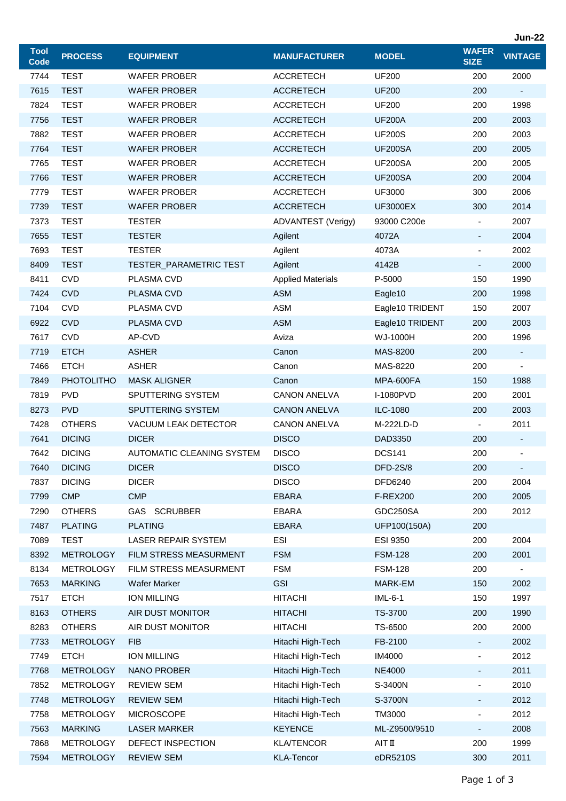|                            |                   |                                  |                          |                 |                             | <b>Jun-22</b>            |
|----------------------------|-------------------|----------------------------------|--------------------------|-----------------|-----------------------------|--------------------------|
| <b>Tool</b><br><b>Code</b> | <b>PROCESS</b>    | <b>EQUIPMENT</b>                 | <b>MANUFACTURER</b>      | <b>MODEL</b>    | <b>WAFER</b><br><b>SIZE</b> | <b>VINTAGE</b>           |
| 7744                       | <b>TEST</b>       | <b>WAFER PROBER</b>              | <b>ACCRETECH</b>         | <b>UF200</b>    | 200                         | 2000                     |
| 7615                       | <b>TEST</b>       | <b>WAFER PROBER</b>              | <b>ACCRETECH</b>         | <b>UF200</b>    | 200                         | $\blacksquare$           |
| 7824                       | <b>TEST</b>       | <b>WAFER PROBER</b>              | <b>ACCRETECH</b>         | <b>UF200</b>    | 200                         | 1998                     |
| 7756                       | <b>TEST</b>       | <b>WAFER PROBER</b>              | <b>ACCRETECH</b>         | <b>UF200A</b>   | 200                         | 2003                     |
| 7882                       | <b>TEST</b>       | <b>WAFER PROBER</b>              | <b>ACCRETECH</b>         | <b>UF200S</b>   | 200                         | 2003                     |
| 7764                       | <b>TEST</b>       | <b>WAFER PROBER</b>              | <b>ACCRETECH</b>         | <b>UF200SA</b>  | 200                         | 2005                     |
| 7765                       | <b>TEST</b>       | <b>WAFER PROBER</b>              | <b>ACCRETECH</b>         | <b>UF200SA</b>  | 200                         | 2005                     |
| 7766                       | <b>TEST</b>       | <b>WAFER PROBER</b>              | <b>ACCRETECH</b>         | <b>UF200SA</b>  | 200                         | 2004                     |
| 7779                       | <b>TEST</b>       | <b>WAFER PROBER</b>              | <b>ACCRETECH</b>         | <b>UF3000</b>   | 300                         | 2006                     |
| 7739                       | <b>TEST</b>       | <b>WAFER PROBER</b>              | <b>ACCRETECH</b>         | <b>UF3000EX</b> | 300                         | 2014                     |
| 7373                       | <b>TEST</b>       | <b>TESTER</b>                    | ADVANTEST (Verigy)       | 93000 C200e     | $\blacksquare$              | 2007                     |
| 7655                       | <b>TEST</b>       | <b>TESTER</b>                    | Agilent                  | 4072A           | ٠                           | 2004                     |
| 7693                       | <b>TEST</b>       | <b>TESTER</b>                    | Agilent                  | 4073A           | $\overline{\phantom{a}}$    | 2002                     |
| 8409                       | <b>TEST</b>       | <b>TESTER_PARAMETRIC TEST</b>    | Agilent                  | 4142B           | $\overline{\phantom{a}}$    | 2000                     |
| 8411                       | <b>CVD</b>        | PLASMA CVD                       | <b>Applied Materials</b> | P-5000          | 150                         | 1990                     |
| 7424                       | <b>CVD</b>        | PLASMA CVD                       | <b>ASM</b>               | Eagle10         | 200                         | 1998                     |
| 7104                       | <b>CVD</b>        | PLASMA CVD                       | <b>ASM</b>               | Eagle10 TRIDENT | 150                         | 2007                     |
| 6922                       | <b>CVD</b>        | PLASMA CVD                       | <b>ASM</b>               | Eagle10 TRIDENT | 200                         | 2003                     |
| 7617                       | <b>CVD</b>        | AP-CVD                           | Aviza                    | WJ-1000H        | 200                         | 1996                     |
| 7719                       | <b>ETCH</b>       | <b>ASHER</b>                     | Canon                    | MAS-8200        | 200                         | $\overline{\phantom{a}}$ |
| 7466                       | <b>ETCH</b>       | <b>ASHER</b>                     | Canon                    | MAS-8220        | 200                         |                          |
| 7849                       | <b>PHOTOLITHO</b> | <b>MASK ALIGNER</b>              | Canon                    | MPA-600FA       | 150                         | 1988                     |
| 7819                       | <b>PVD</b>        | SPUTTERING SYSTEM                | <b>CANON ANELVA</b>      | I-1080PVD       | 200                         | 2001                     |
| 8273                       | <b>PVD</b>        | SPUTTERING SYSTEM                | <b>CANON ANELVA</b>      | ILC-1080        | 200                         | 2003                     |
| 7428                       | <b>OTHERS</b>     | VACUUM LEAK DETECTOR             | <b>CANON ANELVA</b>      | M-222LD-D       |                             | 2011                     |
| 7641                       | <b>DICING</b>     | <b>DICER</b>                     | <b>DISCO</b>             | DAD3350         | 200                         | ۰                        |
| 7642                       | <b>DICING</b>     | <b>AUTOMATIC CLEANING SYSTEM</b> | <b>DISCO</b>             | <b>DCS141</b>   | 200                         | $\overline{\phantom{a}}$ |
| 7640                       | <b>DICING</b>     | <b>DICER</b>                     | <b>DISCO</b>             | <b>DFD-2S/8</b> | 200                         | $\blacksquare$           |
| 7837                       | <b>DICING</b>     | <b>DICER</b>                     | <b>DISCO</b>             | DFD6240         | 200                         | 2004                     |
| 7799                       | <b>CMP</b>        | <b>CMP</b>                       | <b>EBARA</b>             | <b>F-REX200</b> | 200                         | 2005                     |
| 7290                       | <b>OTHERS</b>     | GAS SCRUBBER                     | EBARA                    | GDC250SA        | 200                         | 2012                     |
| 7487                       | <b>PLATING</b>    | <b>PLATING</b>                   | <b>EBARA</b>             | UFP100(150A)    | 200                         |                          |
| 7089                       | <b>TEST</b>       | <b>LASER REPAIR SYSTEM</b>       | <b>ESI</b>               | <b>ESI 9350</b> | 200                         | 2004                     |
| 8392                       | <b>METROLOGY</b>  | FILM STRESS MEASURMENT           | <b>FSM</b>               | <b>FSM-128</b>  | 200                         | 2001                     |
| 8134                       | <b>METROLOGY</b>  | FILM STRESS MEASURMENT           | <b>FSM</b>               | <b>FSM-128</b>  | 200                         |                          |
| 7653                       | <b>MARKING</b>    | Wafer Marker                     | <b>GSI</b>               | MARK-EM         | 150                         | 2002                     |
| 7517                       | <b>ETCH</b>       | <b>ION MILLING</b>               | <b>HITACHI</b>           | IML-6-1         | 150                         | 1997                     |
| 8163                       | <b>OTHERS</b>     | AIR DUST MONITOR                 | <b>HITACHI</b>           | TS-3700         | 200                         | 1990                     |
| 8283                       | <b>OTHERS</b>     | AIR DUST MONITOR                 | <b>HITACHI</b>           | TS-6500         | 200                         | 2000                     |
| 7733                       | <b>METROLOGY</b>  | <b>FIB</b>                       | Hitachi High-Tech        | FB-2100         | $\blacksquare$              | 2002                     |
| 7749                       | <b>ETCH</b>       | <b>ION MILLING</b>               | Hitachi High-Tech        | <b>IM4000</b>   | $\overline{\phantom{a}}$    | 2012                     |
| 7768                       | <b>METROLOGY</b>  | NANO PROBER                      | Hitachi High-Tech        | <b>NE4000</b>   | ٠                           | 2011                     |
| 7852                       | <b>METROLOGY</b>  | <b>REVIEW SEM</b>                | Hitachi High-Tech        | S-3400N         | ٠                           | 2010                     |
| 7748                       | <b>METROLOGY</b>  | <b>REVIEW SEM</b>                | Hitachi High-Tech        | S-3700N         | $\overline{\phantom{a}}$    | 2012                     |
| 7758                       | <b>METROLOGY</b>  | <b>MICROSCOPE</b>                | Hitachi High-Tech        | TM3000          | ٠                           | 2012                     |
| 7563                       | <b>MARKING</b>    | <b>LASER MARKER</b>              | <b>KEYENCE</b>           | ML-Z9500/9510   | $\overline{\phantom{a}}$    | 2008                     |
| 7868                       | <b>METROLOGY</b>  | DEFECT INSPECTION                | <b>KLA/TENCOR</b>        | AIT II          | 200                         | 1999                     |
| 7594                       | <b>METROLOGY</b>  | <b>REVIEW SEM</b>                | <b>KLA-Tencor</b>        | eDR5210S        | 300                         | 2011                     |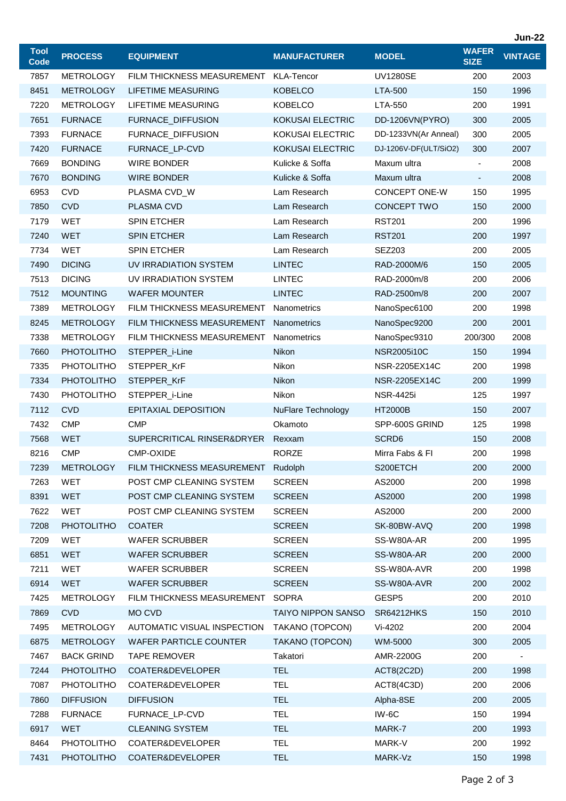|                            |                   |                               |                           |                       |                             | <b>Jun-22</b>  |
|----------------------------|-------------------|-------------------------------|---------------------------|-----------------------|-----------------------------|----------------|
| <b>Tool</b><br><b>Code</b> | <b>PROCESS</b>    | <b>EQUIPMENT</b>              | <b>MANUFACTURER</b>       | <b>MODEL</b>          | <b>WAFER</b><br><b>SIZE</b> | <b>VINTAGE</b> |
| 7857                       | <b>METROLOGY</b>  | FILM THICKNESS MEASUREMENT    | KLA-Tencor                | <b>UV1280SE</b>       | 200                         | 2003           |
| 8451                       | <b>METROLOGY</b>  | LIFETIME MEASURING            | <b>KOBELCO</b>            | <b>LTA-500</b>        | 150                         | 1996           |
| 7220                       | <b>METROLOGY</b>  | LIFETIME MEASURING            | <b>KOBELCO</b>            | LTA-550               | 200                         | 1991           |
| 7651                       | <b>FURNACE</b>    | FURNACE_DIFFUSION             | <b>KOKUSAI ELECTRIC</b>   | DD-1206VN(PYRO)       | 300                         | 2005           |
| 7393                       | <b>FURNACE</b>    | FURNACE_DIFFUSION             | KOKUSAI ELECTRIC          | DD-1233VN(Ar Anneal)  | 300                         | 2005           |
| 7420                       | <b>FURNACE</b>    | FURNACE_LP-CVD                | <b>KOKUSAI ELECTRIC</b>   | DJ-1206V-DF(ULT/SiO2) | 300                         | 2007           |
| 7669                       | <b>BONDING</b>    | <b>WIRE BONDER</b>            | Kulicke & Soffa           | Maxum ultra           |                             | 2008           |
| 7670                       | <b>BONDING</b>    | WIRE BONDER                   | Kulicke & Soffa           | Maxum ultra           | $\overline{\phantom{a}}$    | 2008           |
| 6953                       | <b>CVD</b>        | PLASMA CVD_W                  | Lam Research              | CONCEPT ONE-W         | 150                         | 1995           |
| 7850                       | <b>CVD</b>        | <b>PLASMA CVD</b>             | Lam Research              | CONCEPT TWO           | 150                         | 2000           |
| 7179                       | WET               | <b>SPIN ETCHER</b>            | Lam Research              | <b>RST201</b>         | 200                         | 1996           |
| 7240                       | <b>WET</b>        | <b>SPIN ETCHER</b>            | Lam Research              | <b>RST201</b>         | 200                         | 1997           |
| 7734                       | WET               | <b>SPIN ETCHER</b>            | Lam Research              | <b>SEZ203</b>         | 200                         | 2005           |
| 7490                       | <b>DICING</b>     | UV IRRADIATION SYSTEM         | <b>LINTEC</b>             | RAD-2000M/6           | 150                         | 2005           |
| 7513                       | <b>DICING</b>     | UV IRRADIATION SYSTEM         | <b>LINTEC</b>             | RAD-2000m/8           | 200                         | 2006           |
| 7512                       | <b>MOUNTING</b>   | <b>WAFER MOUNTER</b>          | <b>LINTEC</b>             | RAD-2500m/8           | 200                         | 2007           |
| 7389                       | <b>METROLOGY</b>  | FILM THICKNESS MEASUREMENT    | <b>Nanometrics</b>        | NanoSpec6100          | 200                         | 1998           |
| 8245                       | <b>METROLOGY</b>  | FILM THICKNESS MEASUREMENT    | Nanometrics               | NanoSpec9200          | 200                         | 2001           |
| 7338                       | <b>METROLOGY</b>  | FILM THICKNESS MEASUREMENT    | Nanometrics               | NanoSpec9310          | 200/300                     | 2008           |
| 7660                       | <b>PHOTOLITHO</b> | STEPPER_i-Line                | Nikon                     | <b>NSR2005i10C</b>    | 150                         | 1994           |
| 7335                       | <b>PHOTOLITHO</b> | STEPPER_KrF                   | Nikon                     | NSR-2205EX14C         | 200                         | 1998           |
| 7334                       | <b>PHOTOLITHO</b> | STEPPER_KrF                   | Nikon                     | NSR-2205EX14C         | 200                         | 1999           |
| 7430                       | <b>PHOTOLITHO</b> | STEPPER_i-Line                | Nikon                     | <b>NSR-4425i</b>      | 125                         | 1997           |
| 7112                       | <b>CVD</b>        | <b>EPITAXIAL DEPOSITION</b>   | NuFlare Technology        | <b>HT2000B</b>        | 150                         | 2007           |
| 7432                       | <b>CMP</b>        | <b>CMP</b>                    | Okamoto                   | SPP-600S GRIND        | 125                         | 1998           |
| 7568                       | <b>WET</b>        | SUPERCRITICAL RINSER&DRYER    | Rexxam                    | SCRD <sub>6</sub>     | 150                         | 2008           |
| 8216                       | <b>CMP</b>        | CMP-OXIDE                     | <b>RORZE</b>              | Mirra Fabs & FI       | 200                         | 1998           |
| 7239                       | <b>METROLOGY</b>  | FILM THICKNESS MEASUREMENT    | Rudolph                   | S200ETCH              | 200                         | 2000           |
| 7263                       | WET               | POST CMP CLEANING SYSTEM      | <b>SCREEN</b>             | AS2000                | 200                         | 1998           |
| 8391                       | <b>WET</b>        | POST CMP CLEANING SYSTEM      | <b>SCREEN</b>             | AS2000                | 200                         | 1998           |
| 7622                       | WET               | POST CMP CLEANING SYSTEM      | <b>SCREEN</b>             | AS2000                | 200                         | 2000           |
| 7208                       | <b>PHOTOLITHO</b> | <b>COATER</b>                 | <b>SCREEN</b>             | SK-80BW-AVQ           | 200                         | 1998           |
| 7209                       | WET               | <b>WAFER SCRUBBER</b>         | <b>SCREEN</b>             | SS-W80A-AR            | 200                         | 1995           |
| 6851                       | <b>WET</b>        | <b>WAFER SCRUBBER</b>         | <b>SCREEN</b>             | SS-W80A-AR            | 200                         | 2000           |
| 7211                       | <b>WET</b>        | <b>WAFER SCRUBBER</b>         | <b>SCREEN</b>             | SS-W80A-AVR           | 200                         | 1998           |
| 6914                       | <b>WET</b>        | <b>WAFER SCRUBBER</b>         | <b>SCREEN</b>             | SS-W80A-AVR           | 200                         | 2002           |
| 7425                       | <b>METROLOGY</b>  | FILM THICKNESS MEASUREMENT    | <b>SOPRA</b>              | GESP5                 | 200                         | 2010           |
| 7869                       | <b>CVD</b>        | MO CVD                        | <b>TAIYO NIPPON SANSO</b> | <b>SR64212HKS</b>     | 150                         | 2010           |
| 7495                       | <b>METROLOGY</b>  | AUTOMATIC VISUAL INSPECTION   | TAKANO (TOPCON)           | Vi-4202               | 200                         | 2004           |
| 6875                       | <b>METROLOGY</b>  | <b>WAFER PARTICLE COUNTER</b> | TAKANO (TOPCON)           | WM-5000               | 300                         | 2005           |
| 7467                       | <b>BACK GRIND</b> | <b>TAPE REMOVER</b>           | Takatori                  | AMR-2200G             | 200                         |                |
| 7244                       | <b>PHOTOLITHO</b> | COATER&DEVELOPER              | <b>TEL</b>                | ACT8(2C2D)            | 200                         | 1998           |
| 7087                       | <b>PHOTOLITHO</b> | COATER&DEVELOPER              | <b>TEL</b>                | ACT8(4C3D)            | 200                         | 2006           |
| 7860                       | <b>DIFFUSION</b>  | <b>DIFFUSION</b>              | <b>TEL</b>                | Alpha-8SE             | 200                         | 2005           |
| 7288                       | <b>FURNACE</b>    | FURNACE_LP-CVD                | <b>TEL</b>                | IW-6C                 | 150                         | 1994           |
| 6917                       | <b>WET</b>        | <b>CLEANING SYSTEM</b>        | <b>TEL</b>                | MARK-7                | 200                         | 1993           |
| 8464                       | PHOTOLITHO        | COATER&DEVELOPER              | <b>TEL</b>                | MARK-V                | 200                         | 1992           |
| 7431                       | <b>PHOTOLITHO</b> | COATER&DEVELOPER              | <b>TEL</b>                | MARK-Vz               | 150                         | 1998           |
|                            |                   |                               |                           |                       |                             |                |